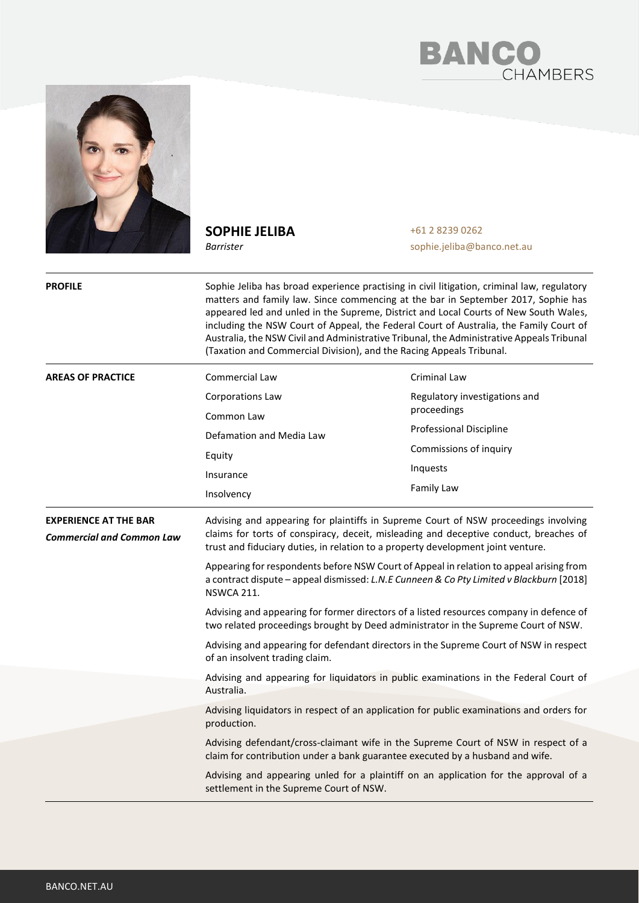



**SOPHIE JELIBA**

*Barrister*

+61 2 8239 0262 sophie.jeliba@banco.net.au

**PROFILE** Sophie Jeliba has broad experience practising in civil litigation, criminal law, regulatory matters and family law. Since commencing at the bar in September 2017, Sophie has appeared led and unled in the Supreme, District and Local Courts of New South Wales, including the NSW Court of Appeal, the Federal Court of Australia, the Family Court of Australia, the NSW Civil and Administrative Tribunal, the Administrative Appeals Tribunal (Taxation and Commercial Division), and the Racing Appeals Tribunal. **AREAS OF PRACTICE** Commercial Law Corporations Law Common Law Defamation and Media Law Equity Insurance Insolvency Criminal Law Regulatory investigations and proceedings Professional Discipline Commissions of inquiry Inquests Family Law **EXPERIENCE AT THE BAR** *Commercial and Common Law* Advising and appearing for plaintiffs in Supreme Court of NSW proceedings involving claims for torts of conspiracy, deceit, misleading and deceptive conduct, breaches of trust and fiduciary duties, in relation to a property development joint venture. Appearing for respondents before NSW Court of Appeal in relation to appeal arising from a contract dispute – appeal dismissed: *L.N.E Cunneen & Co Pty Limited v Blackburn* [2018] NSWCA 211. Advising and appearing for former directors of a listed resources company in defence of two related proceedings brought by Deed administrator in the Supreme Court of NSW. Advising and appearing for defendant directors in the Supreme Court of NSW in respect of an insolvent trading claim. Advising and appearing for liquidators in public examinations in the Federal Court of Australia. Advising liquidators in respect of an application for public examinations and orders for production. Advising defendant/cross-claimant wife in the Supreme Court of NSW in respect of a claim for contribution under a bank guarantee executed by a husband and wife. Advising and appearing unled for a plaintiff on an application for the approval of a settlement in the Supreme Court of NSW.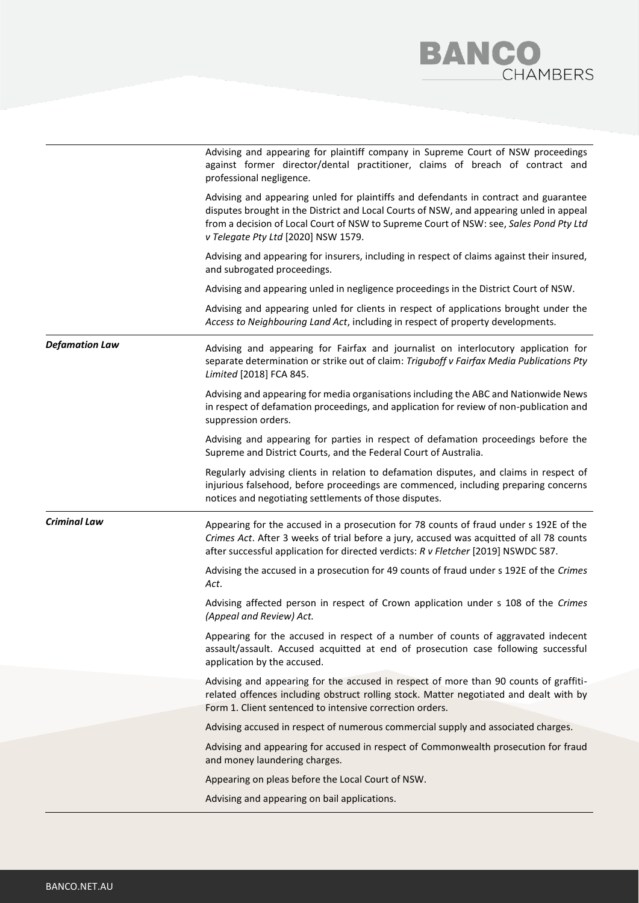## **BANCO**<br>CHAMBERS

|                       | Advising and appearing for plaintiff company in Supreme Court of NSW proceedings<br>against former director/dental practitioner, claims of breach of contract and<br>professional negligence.                                                                                                                    |
|-----------------------|------------------------------------------------------------------------------------------------------------------------------------------------------------------------------------------------------------------------------------------------------------------------------------------------------------------|
|                       | Advising and appearing unled for plaintiffs and defendants in contract and guarantee<br>disputes brought in the District and Local Courts of NSW, and appearing unled in appeal<br>from a decision of Local Court of NSW to Supreme Court of NSW: see, Sales Pond Pty Ltd<br>v Telegate Pty Ltd [2020] NSW 1579. |
|                       | Advising and appearing for insurers, including in respect of claims against their insured,<br>and subrogated proceedings.                                                                                                                                                                                        |
|                       | Advising and appearing unled in negligence proceedings in the District Court of NSW.                                                                                                                                                                                                                             |
|                       | Advising and appearing unled for clients in respect of applications brought under the<br>Access to Neighbouring Land Act, including in respect of property developments.                                                                                                                                         |
| <b>Defamation Law</b> | Advising and appearing for Fairfax and journalist on interlocutory application for<br>separate determination or strike out of claim: Triguboff v Fairfax Media Publications Pty<br>Limited [2018] FCA 845.                                                                                                       |
|                       | Advising and appearing for media organisations including the ABC and Nationwide News<br>in respect of defamation proceedings, and application for review of non-publication and<br>suppression orders.                                                                                                           |
|                       | Advising and appearing for parties in respect of defamation proceedings before the<br>Supreme and District Courts, and the Federal Court of Australia.                                                                                                                                                           |
|                       | Regularly advising clients in relation to defamation disputes, and claims in respect of<br>injurious falsehood, before proceedings are commenced, including preparing concerns<br>notices and negotiating settlements of those disputes.                                                                         |
| <b>Criminal Law</b>   | Appearing for the accused in a prosecution for 78 counts of fraud under s 192E of the<br>Crimes Act. After 3 weeks of trial before a jury, accused was acquitted of all 78 counts<br>after successful application for directed verdicts: R v Fletcher [2019] NSWDC 587.                                          |
|                       | Advising the accused in a prosecution for 49 counts of fraud under s 192E of the Crimes<br>Act.                                                                                                                                                                                                                  |
|                       | Advising affected person in respect of Crown application under s 108 of the Crimes<br>(Appeal and Review) Act.                                                                                                                                                                                                   |
|                       | Appearing for the accused in respect of a number of counts of aggravated indecent<br>assault/assault. Accused acquitted at end of prosecution case following successful<br>application by the accused.                                                                                                           |
|                       | Advising and appearing for the accused in respect of more than 90 counts of graffiti-<br>related offences including obstruct rolling stock. Matter negotiated and dealt with by<br>Form 1. Client sentenced to intensive correction orders.                                                                      |
|                       | Advising accused in respect of numerous commercial supply and associated charges.                                                                                                                                                                                                                                |
|                       | Advising and appearing for accused in respect of Commonwealth prosecution for fraud<br>and money laundering charges.                                                                                                                                                                                             |
|                       | Appearing on pleas before the Local Court of NSW.                                                                                                                                                                                                                                                                |
|                       | Advising and appearing on bail applications.                                                                                                                                                                                                                                                                     |